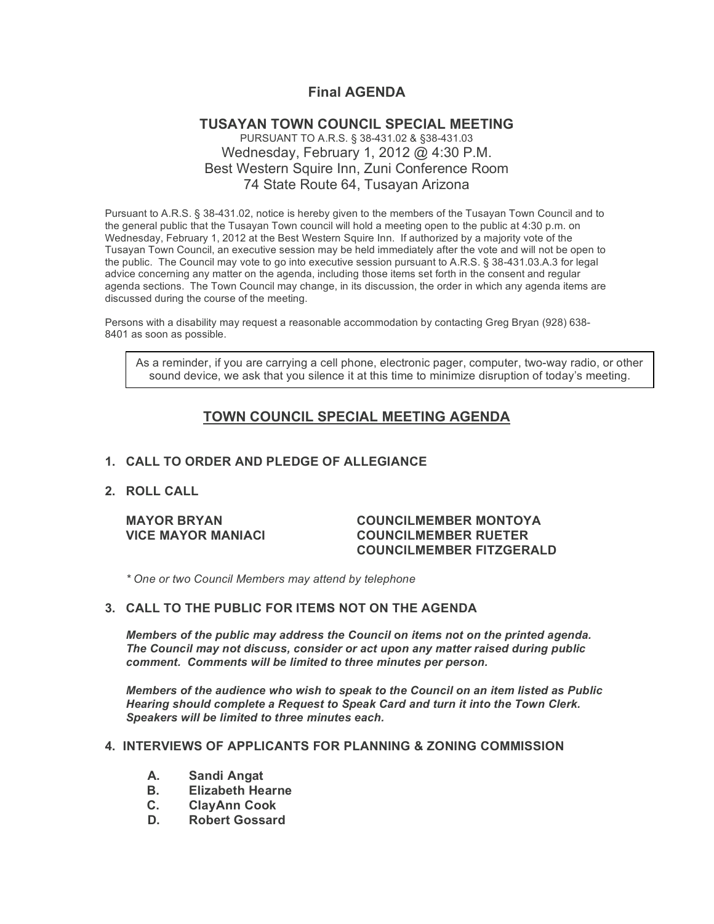# **Final AGENDA**

## **TUSAYAN TOWN COUNCIL SPECIAL MEETING** PURSUANT TO A.R.S. § 38-431.02 & §38-431.03 Wednesday, February 1, 2012 @ 4:30 P.M. Best Western Squire Inn, Zuni Conference Room 74 State Route 64, Tusayan Arizona

Pursuant to A.R.S. § 38-431.02, notice is hereby given to the members of the Tusayan Town Council and to the general public that the Tusayan Town council will hold a meeting open to the public at 4:30 p.m. on Wednesday, February 1, 2012 at the Best Western Squire Inn. If authorized by a majority vote of the Tusayan Town Council, an executive session may be held immediately after the vote and will not be open to the public. The Council may vote to go into executive session pursuant to A.R.S. § 38-431.03.A.3 for legal advice concerning any matter on the agenda, including those items set forth in the consent and regular agenda sections. The Town Council may change, in its discussion, the order in which any agenda items are discussed during the course of the meeting.

Persons with a disability may request a reasonable accommodation by contacting Greg Bryan (928) 638- 8401 as soon as possible.

As a reminder, if you are carrying a cell phone, electronic pager, computer, two-way radio, or other sound device, we ask that you silence it at this time to minimize disruption of today's meeting.

# **TOWN COUNCIL SPECIAL MEETING AGENDA**

## **1. CALL TO ORDER AND PLEDGE OF ALLEGIANCE**

#### **2. ROLL CALL**

### **MAYOR BRYAN COUNCILMEMBER MONTOYA VICE MAYOR MANIACI COUNCILMEMBER RUETER COUNCILMEMBER FITZGERALD**

*\* One or two Council Members may attend by telephone*

#### **3. CALL TO THE PUBLIC FOR ITEMS NOT ON THE AGENDA**

*Members of the public may address the Council* **o***n items not on the printed agenda. The Council may not discuss, consider or act upon any matter raised during public comment. Comments will be limited to three minutes per person.*

*Members of the audience who wish to speak to the Council on an item listed as Public Hearing should complete a Request to Speak Card and turn it into the Town Clerk. Speakers will be limited to three minutes each.*

#### **4. INTERVIEWS OF APPLICANTS FOR PLANNING & ZONING COMMISSION**

- **A. Sandi Angat**
- **B. Elizabeth Hearne**
- **C. ClayAnn Cook**
- **D. Robert Gossard**